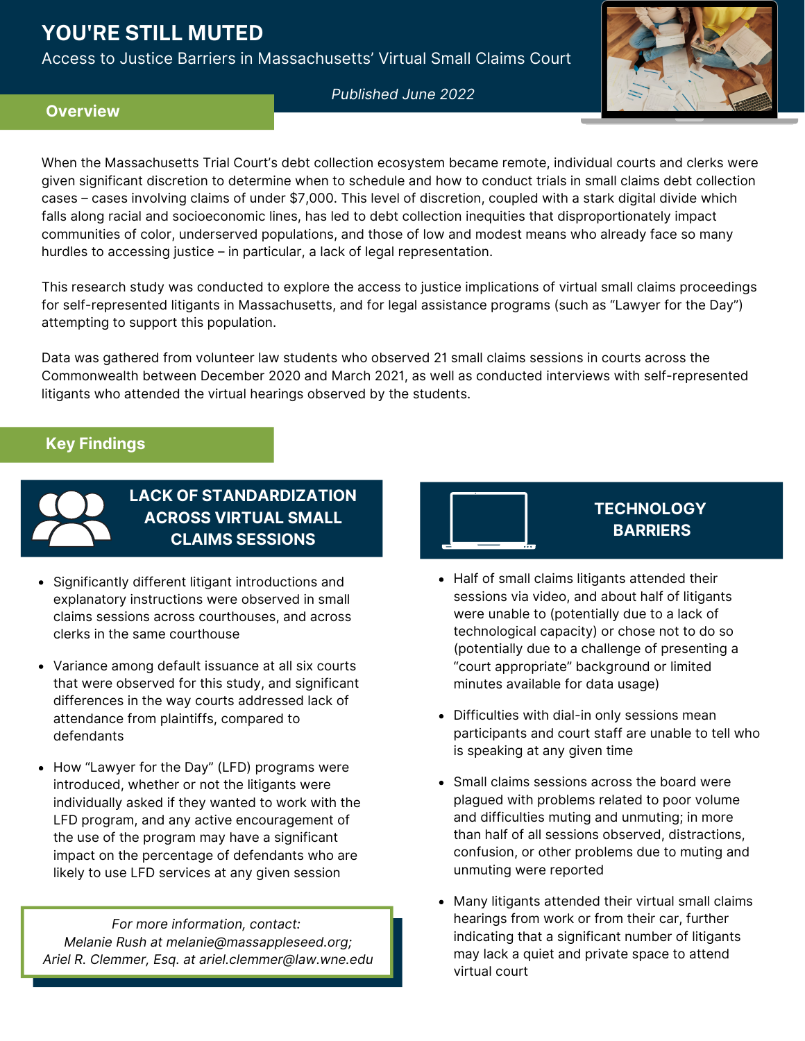# **YOU'RE STILL MUTED**

Access to Justice Barriers in Massachusetts' Virtual Small Claims Court



*Published June 2022*

## **Overview**

When the Massachusetts Trial Court's debt collection ecosystem became remote, individual courts and clerks were given significant discretion to determine when to schedule and how to conduct trials in small claims debt collection cases – cases involving claims of under \$7,000. This level of discretion, coupled with a stark digital divide which falls along racial and socioeconomic lines, has led to debt collection inequities that disproportionately impact communities of color, underserved populations, and those of low and modest means who already face so many hurdles to accessing justice – in particular, a lack of legal representation.

This research study was conducted to explore the access to justice implications of virtual small claims proceedings for self-represented litigants in Massachusetts, and for legal assistance programs (such as "Lawyer for the Day") attempting to support this population.

Data was gathered from volunteer law students who observed 21 small claims sessions in courts across the Commonwealth between December 2020 and March 2021, as well as conducted interviews with self-represented litigants who attended the virtual hearings observed by the students.

# **Key Findings**



**LACK OF STANDARDIZATION ACROSS VIRTUAL SMALL CLAIMS SESSIONS**

- Significantly different litigant introductions and explanatory instructions were observed in small claims sessions across courthouses, and across clerks in the same courthouse
- Variance among default issuance at all six courts that were observed for this study, and significant differences in the way courts addressed lack of attendance from plaintiffs, compared to defendants
- How "Lawyer for the Day" (LFD) programs were introduced, whether or not the litigants were individually asked if they wanted to work with the LFD program, and any active encouragement of the use of the program may have a significant impact on the percentage of defendants who are likely to use LFD services at any given session

*For more information, contact: Melanie Rush at melanie@massappleseed.org; Ariel R. Clemmer, Esq. at [ariel.clemmer@law.wne.edu](mailto:ariel.clemmer@law.wne.edu)*



- Half of small claims litigants attended their sessions via video, and about half of litigants were unable to (potentially due to a lack of technological capacity) or chose not to do so (potentially due to a challenge of presenting a "court appropriate" background or limited minutes available for data usage)
- Difficulties with dial-in only sessions mean participants and court staff are unable to tell who is speaking at any given time
- Small claims sessions across the board were plagued with problems related to poor volume and difficulties muting and unmuting; in more than half of all sessions observed, distractions, confusion, or other problems due to muting and unmuting were reported
- Many litigants attended their virtual small claims hearings from work or from their car, further indicating that a significant number of litigants may lack a quiet and private space to attend virtual court